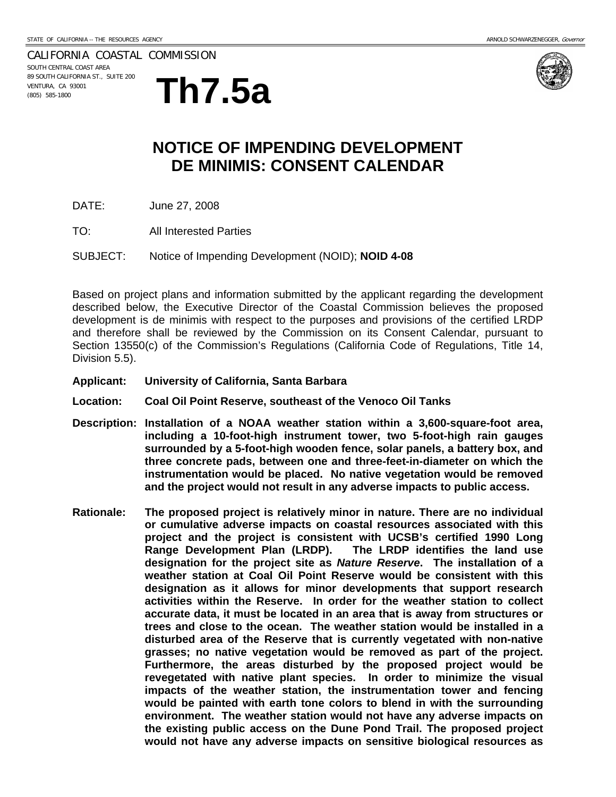CALIFORNIA COASTAL COMMISSION SOUTH CENTRAL COAST AREA

89 SOUTH CALIFORNIA ST., SUITE 200 VENTURA, CA 93001





## **NOTICE OF IMPENDING DEVELOPMENT DE MINIMIS: CONSENT CALENDAR**

- DATE: June 27, 2008
- TO: All Interested Parties

SUBJECT: Notice of Impending Development (NOID); **NOID 4-08**

Based on project plans and information submitted by the applicant regarding the development described below, the Executive Director of the Coastal Commission believes the proposed development is de minimis with respect to the purposes and provisions of the certified LRDP and therefore shall be reviewed by the Commission on its Consent Calendar, pursuant to Section 13550(c) of the Commission's Regulations (California Code of Regulations, Title 14, Division 5.5).

- **Applicant: University of California, Santa Barbara**
- **Location: Coal Oil Point Reserve, southeast of the Venoco Oil Tanks**
- **Description: Installation of a NOAA weather station within a 3,600-square-foot area, including a 10-foot-high instrument tower, two 5-foot-high rain gauges surrounded by a 5-foot-high wooden fence, solar panels, a battery box, and three concrete pads, between one and three-feet-in-diameter on which the instrumentation would be placed. No native vegetation would be removed and the project would not result in any adverse impacts to public access.**
- **Rationale: The proposed project is relatively minor in nature. There are no individual or cumulative adverse impacts on coastal resources associated with this project and the project is consistent with UCSB's certified 1990 Long Range Development Plan (LRDP). The LRDP identifies the land use designation for the project site as** *Nature Reserve***. The installation of a weather station at Coal Oil Point Reserve would be consistent with this designation as it allows for minor developments that support research activities within the Reserve. In order for the weather station to collect accurate data, it must be located in an area that is away from structures or trees and close to the ocean. The weather station would be installed in a disturbed area of the Reserve that is currently vegetated with non-native grasses; no native vegetation would be removed as part of the project. Furthermore, the areas disturbed by the proposed project would be revegetated with native plant species. In order to minimize the visual impacts of the weather station, the instrumentation tower and fencing would be painted with earth tone colors to blend in with the surrounding environment. The weather station would not have any adverse impacts on the existing public access on the Dune Pond Trail. The proposed project would not have any adverse impacts on sensitive biological resources as**